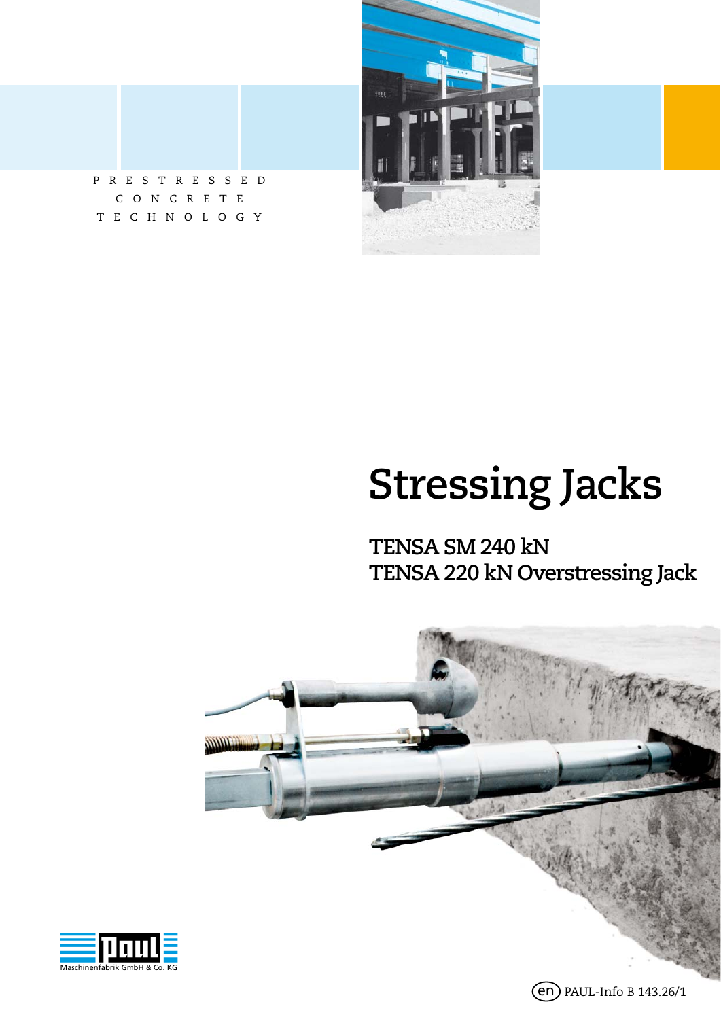



# **Stressing Jacks**

**TENSA SM 240 kN TENSA 220 kN Overstressing Jack**



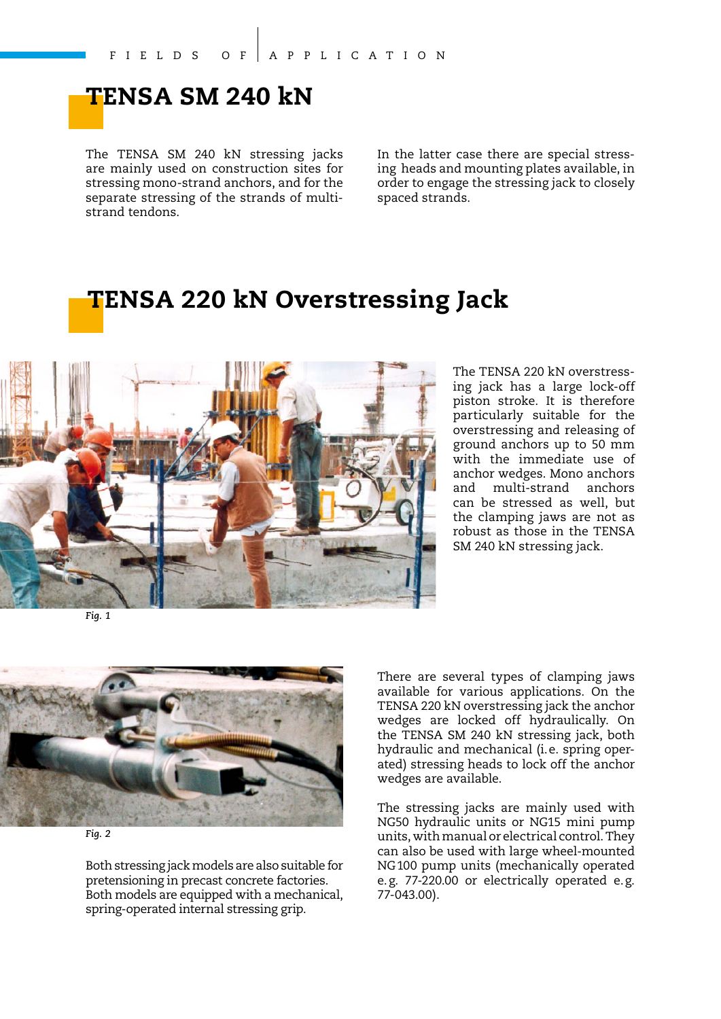### **TENSA SM 240 kN**

The TENSA SM 240 kN stressing jacks are mainly used on construction sites for stressing mono-strand anchors, and for the separate stressing of the strands of multistrand tendons.

In the latter case there are special stressing heads and mounting plates available, in order to engage the stressing jack to closely spaced strands.

### **TENSA 220 kN Overstressing Jack**



The TENSA 220 kN overstressing jack has a large lock-off piston stroke. It is therefore particularly suitable for the overstressing and releasing of ground anchors up to 50 mm with the immediate use of anchor wedges. Mono anchors and multi-strand anchors can be stressed as well, but the clamping jaws are not as robust as those in the TENSA SM 240 kN stressing jack.

*Fig. 1* 



*Fig. 2* 

Both stressing jack models are also suitable for pretensioning in precast concrete factories. Both models are equipped with a mechanical, spring-operated internal stressing grip.

There are several types of clamping jaws available for various applications. On the TENSA 220 kN overstressing jack the anchor wedges are locked off hydraulically. On the TENSA SM 240 kN stressing jack, both hydraulic and mechanical (i. e. spring operated) stressing heads to lock off the anchor wedges are available.

The stressing jacks are mainly used with NG50 hydraulic units or NG15 mini pump units, with manual or electrical control. They can also be used with large wheel-mounted NG 100 pump units (mechanically operated e. g. 77-220.00 or electrically operated e. g. 77-043.00).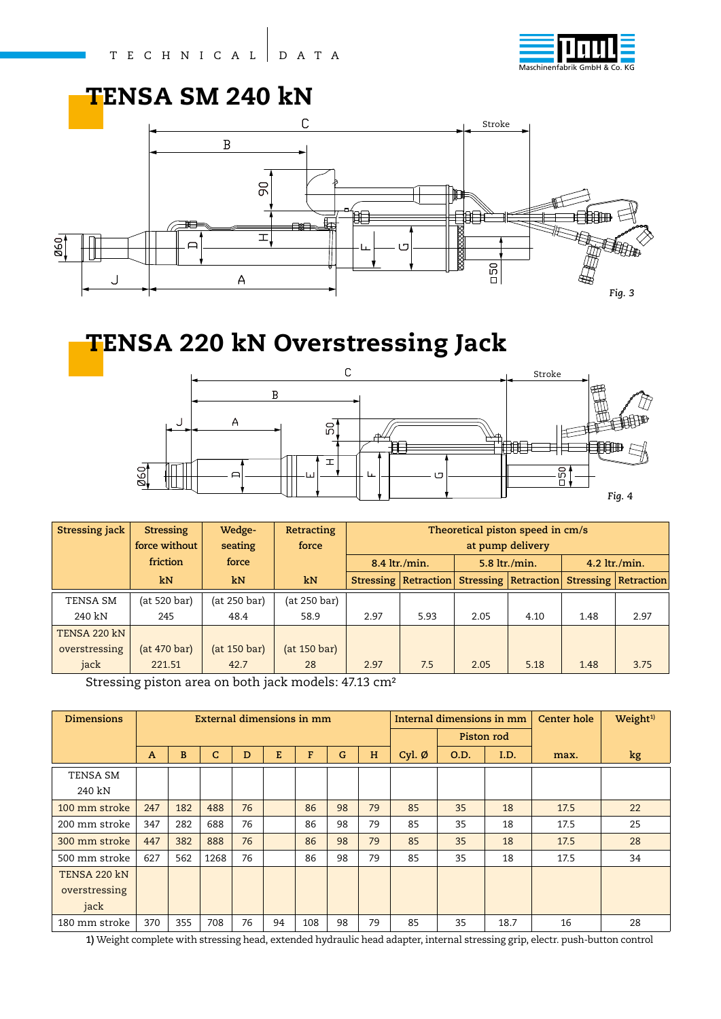

### **TENSA SM 240 kN**



### **TENSA 220 kN Overstressing Jack**



| <b>Stressing jack</b> | <b>Stressing</b> | Wedge-       | Retracting   | Theoretical piston speed in cm/s |                        |      |                      |                 |                                 |  |
|-----------------------|------------------|--------------|--------------|----------------------------------|------------------------|------|----------------------|-----------------|---------------------------------|--|
|                       | force without    | seating      | force        | at pump delivery                 |                        |      |                      |                 |                                 |  |
|                       | friction         | force        |              |                                  | 8.4 ltr./min.          |      | 5.8 ltr./min.        | $4.2$ ltr./min. |                                 |  |
|                       | kN               | kN           | kN           |                                  | Stressing   Retraction |      | Stressing Retraction |                 | <b>Stressing   Retraction  </b> |  |
| TENSA SM              | (at 520 bar)     | (at 250 bar) | (at 250 bar) |                                  |                        |      |                      |                 |                                 |  |
| 240 kN                | 245              | 48.4         | 58.9         | 2.97                             | 5.93                   | 2.05 | 4.10                 | 1.48            | 2.97                            |  |
| TENSA 220 kN          |                  |              |              |                                  |                        |      |                      |                 |                                 |  |
| overstressing         | (at 470 bar)     | (at 150 bar) | (at 150 bar) |                                  |                        |      |                      |                 |                                 |  |
| jack                  | 221.51           | 42.7         | 28           | 2.97                             | 7.5                    | 2.05 | 5.18                 | 1.48            | 3.75                            |  |

Stressing piston area on both jack models: 47.13 cm²

| <b>Dimensions</b> | External dimensions in mm |     |      |    |    |     |    |    | Internal dimensions in mm |            |      | Center hole | Weight <sup>1)</sup> |
|-------------------|---------------------------|-----|------|----|----|-----|----|----|---------------------------|------------|------|-------------|----------------------|
|                   |                           |     |      |    |    |     |    |    |                           | Piston rod |      |             |                      |
|                   | $\mathbf{A}$              | B   | C    | D  | E  | F   | G  | H  | Cyl. $\varnothing$        | O.D.       | I.D. | max.        | kg                   |
| TENSA SM          |                           |     |      |    |    |     |    |    |                           |            |      |             |                      |
| 240 kN            |                           |     |      |    |    |     |    |    |                           |            |      |             |                      |
| 100 mm stroke     | 247                       | 182 | 488  | 76 |    | 86  | 98 | 79 | 85                        | 35         | 18   | 17.5        | 22                   |
| 200 mm stroke     | 347                       | 282 | 688  | 76 |    | 86  | 98 | 79 | 85                        | 35         | 18   | 17.5        | 25                   |
| 300 mm stroke     | 447                       | 382 | 888  | 76 |    | 86  | 98 | 79 | 85                        | 35         | 18   | 17.5        | 28                   |
| 500 mm stroke     | 627                       | 562 | 1268 | 76 |    | 86  | 98 | 79 | 85                        | 35         | 18   | 17.5        | 34                   |
| TENSA 220 kN      |                           |     |      |    |    |     |    |    |                           |            |      |             |                      |
| overstressing     |                           |     |      |    |    |     |    |    |                           |            |      |             |                      |
| jack              |                           |     |      |    |    |     |    |    |                           |            |      |             |                      |
| 180 mm stroke     | 370                       | 355 | 708  | 76 | 94 | 108 | 98 | 79 | 85                        | 35         | 18.7 | 16          | 28                   |

**1)** Weight complete with stressing head, extended hydraulic head adapter, internal stressing grip, electr. push-button control